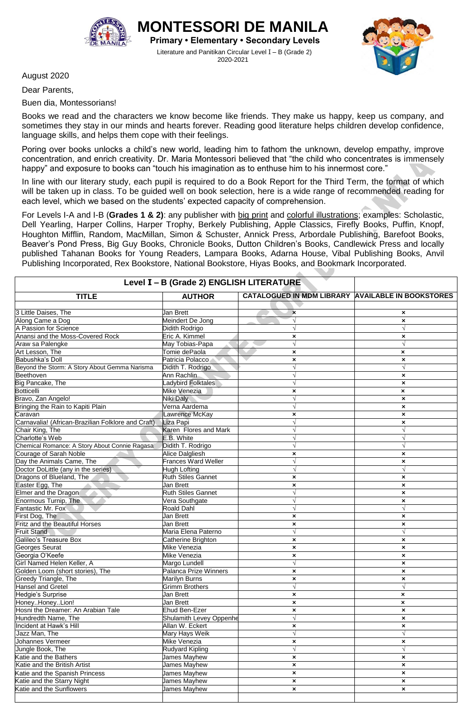

**ONTESSORI DE MANIL Primary • Elementary • Secondary Levels** Literature and Panitikan Circular Level I – B (Grade 2)

2020-2021

August 2020

Dear Parents,

Buen dia, Montessorians!

Books we read and the characters we know become like friends. They make us happy, keep us company, and sometimes they stay in our minds and hearts forever. Reading good literature helps children develop confidence, language skills, and helps them cope with their feelings.

Poring over books unlocks a child's new world, leading him to fathom the unknown, develop empathy, improve concentration, and enrich creativity. Dr. Maria Montessori believed that "the child who concentrates is immensely happy" and exposure to books can "touch his imagination as to enthuse him to his innermost core."

In line with our literary study, each pupil is required to do a Book Report for the Third Term, the format of which will be taken up in class. To be guided well on book selection, here is a wide range of recommended reading for each level, which we based on the students' expected capacity of comprehension.

For Levels I-A and I-B (**Grades 1 & 2)**: any publisher with big print and colorful illustrations; examples: Scholastic, Dell Yearling, Harper Collins, Harper Trophy, Berkely Publishing, Apple Classics, Firefly Books, Puffin, Knopf, Houghton Mifflin, Random, MacMillan, Simon & Schuster, Annick Press, Arbordale Publishing, Barefoot Books, Beaver's Pond Press, Big Guy Books, Chronicle Books, Dutton Children's Books, Candlewick Press and locally published Tahanan Books for Young Readers, Lampara Books, Adarna House, Vibal Publishing Books, Anvil Publishing Incorporated, Rex Bookstore, National Bookstore, Hiyas Books, and Bookmark Incorporated.

| Level I - B (Grade 2) ENGLISH LITERATURE            |                            |                                                          |                           |
|-----------------------------------------------------|----------------------------|----------------------------------------------------------|---------------------------|
| <b>TITLE</b>                                        | <b>AUTHOR</b>              | <b>CATALOGUED IN MDM LIBRARY AVAILABLE IN BOOKSTORES</b> |                           |
|                                                     |                            |                                                          |                           |
| 3 Little Daises, The                                | Jan Brett                  | $\pmb{\times}$                                           | $\boldsymbol{\mathsf{x}}$ |
| Along Came a Dog                                    | Meindert De Jong           | $\sqrt{ }$                                               | $\boldsymbol{\mathsf{x}}$ |
| A Passion for Science                               | Didith Rodrigo             |                                                          |                           |
| Anansi and the Moss-Covered Rock                    | Eric A. Kimmel             | ×                                                        | ×                         |
| Araw sa Palengke                                    | May Tobias-Papa            | $\sqrt{ }$                                               | $\sqrt{ }$                |
| Art Lesson, The                                     | Tomie dePaola              | $\pmb{\times}$                                           | ×                         |
| Babushka's Doll                                     | Patricia Polacco           | $\pmb{\times}$                                           | $\boldsymbol{\mathsf{x}}$ |
| Beyond the Storm: A Story About Gemma Narisma       | Didith T. Rodrigo          | $\sqrt{ }$                                               | $\sqrt{ }$                |
| Beethoven                                           | Ann Rachlin                | $\sqrt{ }$                                               | $\boldsymbol{\mathsf{x}}$ |
| Big Pancake, The                                    | Ladybird Folktales         | $\sqrt{ }$                                               | $\boldsymbol{\mathsf{x}}$ |
| <b>Botticelli</b>                                   | Mike Venezia               | ×                                                        | $\boldsymbol{\mathsf{x}}$ |
| Bravo, Zan Angelo!                                  | Niki Daly                  | $\sqrt{ }$                                               | $\pmb{\times}$            |
| Bringing the Rain to Kapiti Plain                   | Verna Aardema              |                                                          | ×                         |
| Caravan                                             | Lawrence McKay             |                                                          | $\boldsymbol{\mathsf{x}}$ |
| Carnavalia! (African-Brazilian Folklore and Craft). | Liza Papi                  | ×                                                        |                           |
| Chair King, The                                     | Karen Flores and Mark      |                                                          | ×<br>$\sqrt{ }$           |
| Charlotte's Web                                     | E.B. White                 |                                                          | $\sqrt{ }$                |
| Chemical Romance: A Story About Connie Ragasa       |                            |                                                          |                           |
|                                                     | Didith T. Rodrigo          | $\sqrt{ }$                                               | $\sqrt{ }$                |
| Courage of Sarah Noble                              | Alice Dalgliesh            | $\pmb{\times}$                                           | ×                         |
| Day the Animals Came, The                           | <b>Frances Ward Weller</b> |                                                          | ×                         |
| Doctor DoLittle (any in the series)                 | Hugh Lofting               |                                                          | $\sqrt{ }$                |
| Dragons of Blueland, The                            | <b>Ruth Stiles Gannet</b>  | $\pmb{\times}$                                           | $\boldsymbol{\mathsf{x}}$ |
| Easter Egg, The                                     | Jan Brett                  | $\pmb{\times}$                                           | $\boldsymbol{\mathsf{x}}$ |
| Elmer and the Dragon                                | <b>Ruth Stiles Gannet</b>  |                                                          | ×                         |
| Enormous Turnip, The                                | Vera Southgate             |                                                          | $\pmb{\times}$            |
| Fantastic Mr. Fox                                   | <b>Roald Dahl</b>          |                                                          | $\sqrt{ }$                |
| First Dog, The                                      | Jan Brett                  | ×                                                        | ×                         |
| Fritz and the Beautiful Horses                      | Jan Brett                  | $\pmb{\times}$                                           | ×                         |
| <b>Fruit Stand</b>                                  | Maria Elena Paterno        | $\sqrt{ }$                                               | $\sqrt{ }$                |
| Galileo's Treasure Box                              | Catherine Brighton         | ×                                                        | $\boldsymbol{\mathsf{x}}$ |
| Georges Seurat                                      | Mike Venezia               | $\pmb{\times}$                                           | $\pmb{\times}$            |
| Georgia O'Keefe                                     | Mike Venezia               | ×                                                        | $\pmb{\times}$            |
| Girl Named Helen Keller, A                          | Margo Lundell              | $\sqrt{ }$                                               | ×                         |
| Golden Loom (short stories), The                    | Palanca Prize Winners      | ×                                                        | ×                         |
| Greedy Triangle, The                                | <b>Marilyn Burns</b>       | $\boldsymbol{\mathsf{x}}$                                | $\pmb{\times}$            |
| <b>Hansel and Gretel</b>                            | <b>Grimm Brothers</b>      | $\sqrt{}$                                                | $\sqrt{ }$                |
| Hedgie's Surprise                                   | Jan Brett                  | ×                                                        | ×                         |
| HoneyHoneyLion!                                     | Jan Brett                  | ×                                                        | ×                         |
| Hosni the Dreamer: An Arabian Tale                  | Ehud Ben-Ezer              | ×                                                        | ×                         |
| Hundredth Name, The                                 | Shulamith Levey Oppenhe    | V                                                        | ×                         |
| Incident at Hawk's Hill                             | Allan W. Eckert            | ×                                                        | $\pmb{\times}$            |
| Jazz Man, The                                       | Mary Hays Weik             | $\sqrt{ }$                                               | $\sqrt{ }$                |
| Johannes Vermeer                                    | Mike Venezia               | ×                                                        | ×                         |
| Jungle Book, The                                    | <b>Rudyard Kipling</b>     | $\sqrt{ }$                                               |                           |
| Katie and the Bathers                               | James Mayhew               | $\boldsymbol{\mathsf{x}}$                                | $\pmb{\times}$            |
| Katie and the British Artist                        | James Mayhew               | ×                                                        | $\boldsymbol{\mathsf{x}}$ |
| Katie and the Spanish Princess                      | James Mayhew               | ×                                                        | $\boldsymbol{\mathsf{x}}$ |
| Katie and the Starry Night                          | James Mayhew               | ×                                                        | $\boldsymbol{\mathsf{x}}$ |
| Katie and the Sunflowers                            | James Mayhew               | $\boldsymbol{\mathsf{x}}$                                | $\pmb{\times}$            |
|                                                     |                            |                                                          |                           |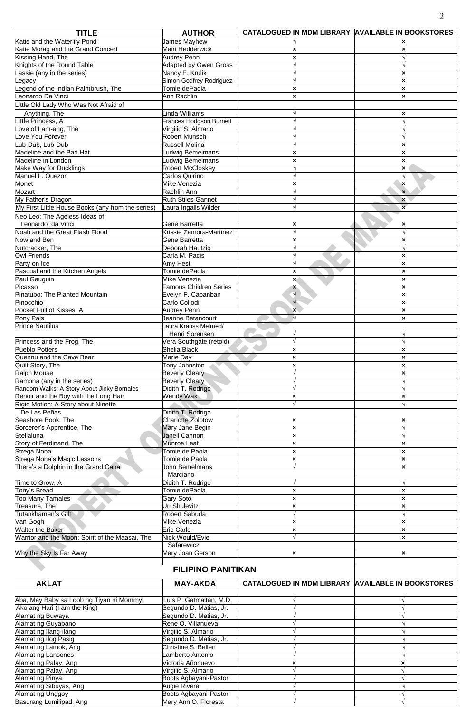| <b>TITLE</b>                                                                 | <b>AUTHOR</b>                                     | CATALOGUED IN MDM LIBRARY AVAILABLE IN BOOKSTORES        |                                                        |
|------------------------------------------------------------------------------|---------------------------------------------------|----------------------------------------------------------|--------------------------------------------------------|
| Katie and the Waterlily Pond                                                 | <b>James Mayhew</b>                               |                                                          | ×                                                      |
| Katie Morag and the Grand Concert                                            | Mairi Hedderwick                                  | $\pmb{\times}$                                           | $\pmb{\times}$                                         |
| Kissing Hand, The                                                            | <b>Audrey Penn</b>                                | $\pmb{\times}$                                           | $\sqrt{ }$                                             |
| Knights of the Round Table<br>Lassie (any in the series)                     | <b>Adapted by Gwen Gross</b><br>Nancy E. Krulik   |                                                          | $\boldsymbol{\mathsf{x}}$                              |
| egacy                                                                        | Simon Godfrey Rodriguez                           |                                                          | $\boldsymbol{\mathsf{x}}$                              |
| egend of the Indian Paintbrush, The                                          | Tomie dePaola                                     | $\boldsymbol{\mathsf{x}}$                                | $\boldsymbol{\mathsf{x}}$                              |
| Leonardo Da Vinci                                                            | Ann Rachlin                                       | $\boldsymbol{\mathsf{x}}$                                | $\pmb{\times}$                                         |
| Little Old Lady Who Was Not Afraid of                                        |                                                   |                                                          |                                                        |
| Anything, The                                                                | Linda Williams                                    | N                                                        | $\pmb{\times}$                                         |
| Little Princess, A                                                           | <b>Frances Hodgson Burnett</b>                    | N                                                        | $\sqrt{ }$                                             |
| Love of Lam-ang, The                                                         | Virgilio S. Almario                               |                                                          | $\sqrt{ }$                                             |
| ove You Forever<br>_ub-Dub, Lub-Dub                                          | Robert Munsch<br><b>Russell Molina</b>            |                                                          | $\sqrt{}$<br>$\boldsymbol{\mathsf{x}}$                 |
| Madeline and the Bad Hat                                                     | udwig Bemelmans                                   | $\boldsymbol{\mathsf{x}}$                                | $\boldsymbol{\mathsf{x}}$                              |
| Madeline in London                                                           | Ludwig Bemelmans                                  | $\boldsymbol{\mathsf{x}}$                                | $\pmb{\times}$                                         |
| Make Way for Ducklings                                                       | Robert McCloskey                                  |                                                          | $\pmb{\times}$                                         |
| Manuel L. Quezon                                                             | Carlos Quirino                                    | N                                                        | $\sqrt{ }$                                             |
| Monet                                                                        | Mike Venezia                                      | ×                                                        | ×                                                      |
| Mozart                                                                       | Rachlin Ann                                       | V                                                        | $\mathbf{x}$                                           |
| My Father's Dragon<br>My First Little House Books (any from the series)      | <b>Ruth Stiles Gannet</b><br>Laura Ingalls Wilder |                                                          | $\boldsymbol{\mathsf{x}}$<br>$\overline{\mathbf{x}}$   |
| Neo Leo: The Ageless Ideas of                                                |                                                   |                                                          |                                                        |
| Leonardo da Vinci                                                            | Gene Barretta                                     | $\boldsymbol{\mathsf{x}}$                                | $\pmb{\times}$                                         |
| Noah and the Great Flash Flood                                               | Krissie Zamora-Martinez                           |                                                          |                                                        |
| Now and Ben                                                                  | Gene Barretta                                     | $\boldsymbol{\mathsf{x}}$                                | $\pmb{\times}$                                         |
| Nutcracker, The                                                              | Deborah Hautzig                                   |                                                          | $\sqrt{ }$                                             |
| <b>Owl Friends</b>                                                           | Carla M. Pacis                                    |                                                          | $\boldsymbol{\mathsf{x}}$                              |
| Party on Ice                                                                 | Amy Hest                                          | $\sqrt{}$                                                | $\boldsymbol{\mathsf{x}}$                              |
| Pascual and the Kitchen Angels<br>Paul Gauguin                               | Tomie dePaola<br>Mike Venezia                     | $\boldsymbol{\mathsf{x}}$<br>$\mathbf{x}$                | $\boldsymbol{\mathsf{x}}$<br>$\pmb{\times}$            |
| Picasso                                                                      | <b>Famous Children Series</b>                     | $\pmb{\times}$                                           | $\pmb{\times}$                                         |
| Pinatubo: The Planted Mountain                                               | Evelyn F. Cabanban                                | $\sqrt{}$                                                | $\boldsymbol{\mathsf{x}}$                              |
| Pinocchio                                                                    | Carlo Collodi                                     | $\sqrt{}$                                                | $\boldsymbol{\mathsf{x}}$                              |
| Pocket Full of Kisses, A                                                     | <b>Audrey Penn</b>                                | $\mathbf{x}$                                             | $\boldsymbol{\mathsf{x}}$                              |
| Pony Pals                                                                    | Jeanne Betancourt                                 | $\sqrt{ }$                                               | $\boldsymbol{\mathsf{x}}$                              |
| <b>Prince Nautilus</b>                                                       | aura Krauss Melmed/                               |                                                          |                                                        |
| Princess and the Frog, The                                                   | Henri Sorensen<br>Vera Southgate (retold)         | $\sqrt{ }$<br>N                                          | $\sqrt{ }$                                             |
| Pueblo Potters                                                               | <b>Shelia Black</b>                               | $\boldsymbol{\mathsf{x}}$                                | ×                                                      |
| Quennu and the Cave Bear                                                     | Marie Day                                         | $\boldsymbol{\mathsf{x}}$                                | $\boldsymbol{\mathsf{x}}$                              |
| Quilt Story, The                                                             | Tony Johnston                                     | $\boldsymbol{\mathsf{x}}$                                | $\boldsymbol{\mathsf{x}}$                              |
| <b>Ralph Mouse</b>                                                           | <b>Beverly Cleary</b>                             |                                                          | ×                                                      |
| Ramona (any in the series)                                                   | <b>Beverly Cleary</b>                             |                                                          | $\sqrt{ }$                                             |
| Random Walks: A Story About Jinky Bornales                                   | Didith T. Rodrigo                                 |                                                          | $\sqrt{ }$                                             |
| Renoir and the Boy with the Long Hair<br>Rigid Motion: A Story about Ninette | Wendy Wax                                         | $\boldsymbol{\mathsf{x}}$                                | ×<br>$\sqrt{ }$                                        |
| De Las Peñas                                                                 | Didith T. Rodrigo                                 |                                                          |                                                        |
| Seashore Book, The                                                           | <b>Charlotte Zolotow</b>                          | $\boldsymbol{\mathsf{x}}$                                | $\pmb{\times}$                                         |
| Sorcerer's Apprentice, The                                                   | Mary Jane Begin                                   | $\boldsymbol{\mathsf{x}}$                                | $\sqrt{ }$                                             |
| Stellaluna                                                                   | <b>Janell Cannon</b>                              | $\boldsymbol{\mathsf{x}}$                                | $\sqrt{ }$                                             |
| Story of Ferdinand, The                                                      | Munroe Leaf                                       | $\pmb{\times}$                                           | $\pmb{\times}$                                         |
| Strega Nona<br>Strega Nona's Magic Lessons                                   | Tomie de Paola<br>Tomie de Paola                  | $\pmb{\times}$                                           | $\pmb{\times}$                                         |
| There's a Dolphin in the Grand Canal                                         | John Bemelmans                                    | $\boldsymbol{\mathsf{x}}$                                | $\boldsymbol{\mathsf{x}}$<br>$\boldsymbol{\mathsf{x}}$ |
|                                                                              | Marciano                                          |                                                          |                                                        |
| Time to Grow, A                                                              | Didith T. Rodrigo                                 | $\sqrt{}$                                                | $\sqrt{ }$                                             |
| Tony's Bread                                                                 | Tomie dePaola                                     | $\boldsymbol{\mathsf{x}}$                                | $\pmb{\times}$                                         |
| <b>Too Many Tamales</b>                                                      | Gary Soto                                         | $\pmb{\times}$                                           | $\pmb{\times}$                                         |
| Treasure, The<br><b>Tutankhamen's Gift</b>                                   | Uri Shulevitz                                     | $\pmb{\times}$                                           | $\pmb{\times}$<br>$\sqrt{ }$                           |
| Van Gogh                                                                     | Robert Sabuda<br>Mike Venezia                     | $\sqrt{}$<br>$\boldsymbol{\mathsf{x}}$                   | ×                                                      |
| <b>Walter the Baker</b>                                                      | <b>Eric Carle</b>                                 | $\boldsymbol{\mathsf{x}}$                                | $\pmb{\times}$                                         |
| Warrior and the Moon: Spirit of the Maasai, The                              | Nick Would/Evie                                   | $\sqrt{ }$                                               | $\boldsymbol{\mathsf{x}}$                              |
|                                                                              | Safarewicz                                        |                                                          |                                                        |
| Why the Sky Is Far Away                                                      | Mary Joan Gerson                                  | $\boldsymbol{\mathsf{x}}$                                | $\boldsymbol{\mathsf{x}}$                              |
|                                                                              |                                                   |                                                          |                                                        |
|                                                                              | <b>FILIPINO PANITIKAN</b>                         |                                                          |                                                        |
| <b>AKLAT</b>                                                                 | <b>MAY-AKDA</b>                                   | <b>CATALOGUED IN MDM LIBRARY AVAILABLE IN BOOKSTORES</b> |                                                        |
| Aba, May Baby sa Loob ng Tiyan ni Mommy!                                     | Luis P. Gatmaitan, M.D.                           |                                                          |                                                        |
| Ako ang Hari (I am the King)                                                 | Segundo D. Matias, Jr.                            | V                                                        |                                                        |
| Alamat ng Buwaya                                                             | Segundo D. Matias, Jr.                            |                                                          |                                                        |
| Alamat ng Guyabano                                                           | Rene O. Villanueva                                |                                                          |                                                        |
| Alamat ng Ilang-ilang                                                        | Virgilio S. Almario                               |                                                          | $\sqrt{ }$                                             |
| Alamat ng Ilog Pasig<br>Alamat ng Lamok, Ang                                 | Segundo D. Matias, Jr.<br>Christine S. Bellen     |                                                          | $\sqrt{ }$<br>$\sqrt{ }$                               |
| Alamat ng Lansones                                                           | amberto Antonio                                   |                                                          |                                                        |
| Alamat ng Palay, Ang                                                         | Victoria Añonuevo                                 | $\boldsymbol{\mathsf{x}}$                                | $\boldsymbol{\mathsf{x}}$                              |
| Alamat ng Palay, Ang                                                         | Virgilio S. Almario                               |                                                          |                                                        |
| Alamat ng Pinya                                                              | Boots Agbayani-Pastor                             |                                                          |                                                        |
| Alamat ng Sibuyas, Ang                                                       | <b>Augie Rivera</b>                               | V                                                        | $\sqrt{ }$                                             |
| Alamat ng Unggoy                                                             | Boots Agbayani-Pastor                             | $\sqrt{ }$                                               | $\sqrt{ }$                                             |
| Basurang Lumilipad, Ang                                                      | Mary Ann O. Floresta                              |                                                          |                                                        |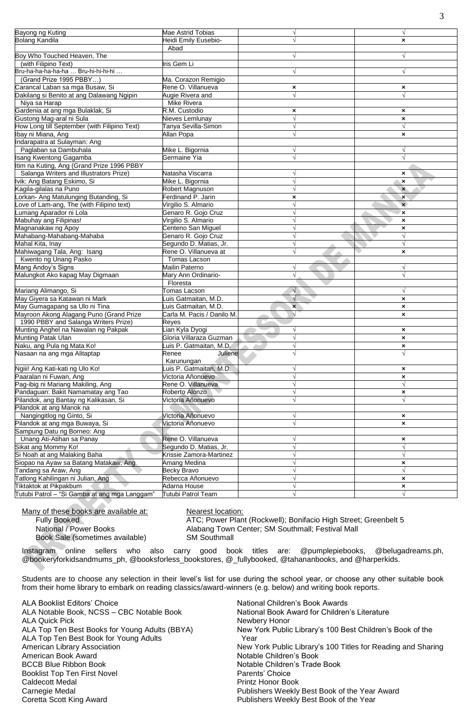| Bayong ng Kuting                              | Mae Astrid Tobias          |              |                             |
|-----------------------------------------------|----------------------------|--------------|-----------------------------|
| <b>Bolang Kandila</b>                         | Heidi Emily Eusebio-       |              | $\boldsymbol{\mathsf{x}}$   |
|                                               | Abad                       |              |                             |
| Boy Who Touched Heaven, The                   |                            | $\sqrt{}$    | $\sqrt{ }$                  |
| (with Filipino Text)                          | Iris Gem Li                |              |                             |
| Bru-ha-ha-ha-ha-ha  Bru-hi-hi-hi-hi           |                            |              | V                           |
| (Grand Prize 1995 PBBY)                       | Ma. Corazon Remigio        |              |                             |
| Carancal Laban sa mga Busaw, Si               | Rene O. Villanueva         | ×            | ×                           |
| Dakilang si Benito at ang Dalawang Ngipin     | Augie Rivera and           | $\sqrt{}$    | $\sqrt{}$                   |
| Niya sa Harap                                 | <b>Mike Rivera</b>         |              |                             |
| Gardenia at ang mga Bulaklak, Si              | R.M. Custodio              | ×            | $\pmb{\times}$              |
| Gustong Mag-aral ni Sula                      | Nieves Lemlunay            | $\sqrt{}$    | $\pmb{\times}$              |
| How Long till September (with Filipino Text)  | Tanya Sevilla-Simon        |              | V                           |
| Ibay ni Miana, Ang                            | Allan Popa                 |              | $\boldsymbol{\mathsf{x}}$   |
| Indarapatra at Sulayman: Ang                  |                            |              |                             |
| Paglaban sa Dambuhala                         | Mike L. Bigornia           |              | $\sqrt{ }$                  |
| Isang Kwentong Gagamba                        | Germaine Yia               | $\sqrt{}$    | $\sqrt{ }$                  |
| Itim na Kuting, Ang (Grand Prize 1996 PBBY    |                            |              |                             |
| Salanga Writers and Illustrators Prize)       | Natasha Viscarra           |              | $\boldsymbol{\mathsf{x}}$   |
| Ivik: Ang Batang Eskimo, Si                   | Mike L. Bigornia           |              | $\boldsymbol{\mathsf{x}}$   |
| Kagila-gilalas na Puno                        | Robert Magnuson            |              | $\mathbf{x}$                |
| orkan- Ang Matulunging Butanding, Si          | Ferdinand P. Jarin         | ×            | $\boldsymbol{\mathsf{x}}$   |
| ove of Lam-ang, The (with Filipino text)      | Virgilio S. Almario        | $\sqrt{}$    | $\mathbf{x}$                |
| Lumang Aparador ni Lola                       | Genaro R. Gojo Cruz        | $\sqrt{}$    | ×                           |
| Mabuhay ang Filipinas!                        | Virgilio S. Almario        |              | $\pmb{\times}$              |
| Magnanakaw ng Apoy                            | Centeno San Miguel         |              | $\boldsymbol{\mathsf{x}}$   |
| Mahabang-Mahabang-Mahaba                      | Genaro R. Gojo Cruz        |              | $\sqrt{}$                   |
| Mahal Kita, Inay                              | Segundo D. Matias, Jr.     |              | $\sqrt{ }$                  |
| Mahiwagang Tala, Ang: Isang                   | Rene O. Villanueva at      |              | $\pmb{\times}$              |
| Kwento ng Unang Pasko                         | Tomas Lacson               |              |                             |
| Mang Andoy's Signs                            | Mailin Paterno             | V            | $\sqrt{}$                   |
| Malungkot Ako kapag May Digmaan               | Mary Ann Ordinario-        |              |                             |
|                                               | Floresta                   |              |                             |
| Mariang Alimango, Si                          | Tomas Lacson               | $\sqrt{ }$   | V                           |
| May Giyera sa Katawan ni Mark                 | uis Gatmaitan, M.D.        |              | $\boldsymbol{\mathsf{x}}$   |
| May Gumagapang sa Ulo ni Tina                 | Luis Gatmaitan, M.D.       | $\mathbf{x}$ | $\boldsymbol{\mathsf{x}}$   |
| Mayroon Akong Alagang Puno (Grand Prize       | Carla M. Pacis / Danilo M. | $\sqrt{}$    | $\boldsymbol{\mathsf{x}}$   |
| 1990 PBBY and Salanga Writers Prize)          | Reyes                      |              |                             |
| Munting Anghel na Nawalan ng Pakpak           | ian Kyla Dyogi             |              | $\pmb{\times}$              |
| Munting Patak Ulan                            | Gloria Villaraza Guzman    |              | $\boldsymbol{\mathsf{x}}$   |
| Naku, ang Pula ng Mata Ko!                    | uis P. Gatmaitan, M.D.     |              |                             |
| Nasaan na ang mga Alitaptap                   | Renee<br>Juliene           |              | $\pmb{\times}$<br>$\sqrt{}$ |
|                                               | Karunungan                 |              |                             |
| Ngiii! Ang Kati-kati ng Ulo Ko!               | Luis P. Gatmaitan, M.D.    |              | $\boldsymbol{\mathsf{x}}$   |
| Paaralan ni Fuwan, Ang                        | Victoria Añonuevo          |              | $\boldsymbol{\mathsf{x}}$   |
| Pag-ibig ni Mariang Makiling, Ang             | Rene O. Villanueva         |              |                             |
| Pandaguan: Bakit Namamatay ang Tao            | Roberto Alonzo             |              | $\boldsymbol{\mathsf{x}}$   |
| Pilandok, ang Bantay ng Kalikasan, Si         | Victoria Añonuevo          |              | $\sqrt{ }$                  |
| Pilandok at ang Manok na                      |                            |              |                             |
| Nangingitlog ng Ginto, Si                     | Victoria Añonuevo          |              | $\boldsymbol{\mathsf{x}}$   |
| Pilandok at ang mga Buwaya, Si                | Victoria Añonuevo          |              | $\boldsymbol{\mathsf{x}}$   |
| Sampung Datu ng Borneo: Ang                   |                            |              |                             |
| Unang Ati-Atihan sa Panay                     | Rene O. Villanueva         |              | $\boldsymbol{\mathsf{x}}$   |
| Sikat ang Mommy Ko!                           | Segundo D. Matias, Jr.     | $\sqrt{}$    | $\sqrt{ }$                  |
| Si Noah at ang Malaking Baha                  | Krissie Zamora-Martinez    |              | $\sqrt{ }$                  |
| Siopao na Ayaw sa Batang Matakaw, Ang         | Amang Medina               |              | $\pmb{\times}$              |
| Tandang sa Araw, Ang                          | Becky Bravo                |              | $\sqrt{ }$                  |
| Tatlong Kahilingan ni Julian, Ang             | Rebecca Añonuevo           |              | $\boldsymbol{\mathsf{x}}$   |
| Tiktaktok at Pikpakbum                        | Adarna House               |              | $\boldsymbol{\mathsf{x}}$   |
| Tutubi Patrol - "Si Gamba at ang mga Langgam" | <b>Tutubi Patrol Team</b>  |              | V                           |
|                                               |                            |              |                             |

Many of these books are available at: Nearest location:

Book Sale (sometimes available)

Fully Booked **ATC**; Power Plant (Rockwell); Bonifacio High Street; Greenbelt 5 National / Power Books <br>
Book Sale (sometimes available) SM Southmall<br>
SM Southmall

Instagram online sellers who also carry good book titles are: @pumplepiebooks, @belugadreams.ph, @bookeryforkidsandmums\_ph, @booksforless\_bookstores, @\_fullybooked, @tahananbooks, and @harperkids.

Students are to choose any selection in their level's list for use during the school year, or choose any other suitable book from their home library to embark on reading classics/award-winners (e.g. below) and writing book reports.

ALA Booklist Editors' Choice<br>ALA Notable Book, NCSS – CBC Notable Book Mational Book Award for Children's Literature ALA Notable Book, NCSS - CBC Notable Book ALA Quick Pick Newbery Honor ALA Top Ten Best Book for Young Adults **The Contract Contract Contract Premission** Year American Book Award **Notable Children's Book American Book** Award BCCB Blue Ribbon Book <br>
Booklist Top Ten First Novel Notel **Notable Children's Trade Book**<br>
Parents' Choice Booklist Top Ten First Novel Caldecott Medal **Printz Honor Book** Carnegie Medal **Carnegie Medal** Publishers Weekly Best Book of the Year Award<br>
Coretta Scott King Award **Publishers Weekly Best Book of the Year** 

ALA Top Ten Best Books for Young Adults (BBYA) New York Public Library's 100 Best Children's Book of the American Library Association New York Public Library's 100 Titles for Reading and Sharing Publishers Weekly Best Book of the Year